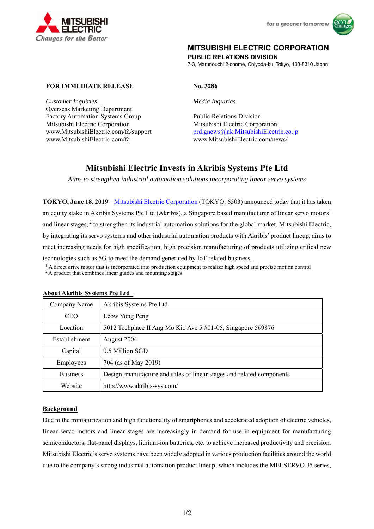



# **MITSUBISHI ELECTRIC CORPORATION**

**PUBLIC RELATIONS DIVISION** 

7-3, Marunouchi 2-chome, Chiyoda-ku, Tokyo, 100-8310 Japan

## **FOR IMMEDIATE RELEASE No. 3286**

*Customer Inquiries Media Inquiries*  Overseas Marketing Department Factory Automation Systems Group Public Relations Division Mitsubishi Electric Corporation Mitsubishi Electric Corporation www.MitsubishiElectric.com/fa www.MitsubishiElectric.com/news/

www.MitsubishiElectric.com/fa/support prd.gnews@nk.MitsubishiElectric.co.jp

# **Mitsubishi Electric Invests in Akribis Systems Pte Ltd**

*Aims to strengthen industrial automation solutions incorporating linear servo systems* 

**TOKYO, June 18, 2019** – Mitsubishi Electric Corporation (TOKYO: 6503) announced today that it has taken an equity stake in Akribis Systems Pte Ltd (Akribis), a Singapore based manufacturer of linear servo motors<sup>1</sup> and linear stages,  $2$  to strengthen its industrial automation solutions for the global market. Mitsubishi Electric, by integrating its servo systems and other industrial automation products with Akribis' product lineup, aims to meet increasing needs for high specification, high precision manufacturing of products utilizing critical new technologies such as 5G to meet the demand generated by IoT related business.<br><sup>1</sup> A direct drive motor that is incorporated into production equipment to realize high speed and precise motion control<br><sup>2</sup> A product that com

| Company Name         | Akribis Systems Pte Ltd                                               |
|----------------------|-----------------------------------------------------------------------|
| <b>CEO</b>           | Leow Yong Peng                                                        |
| Location             | 5012 Techplace II Ang Mo Kio Ave 5 #01-05, Singapore 569876           |
| <b>Establishment</b> | August 2004                                                           |
| Capital              | 0.5 Million SGD                                                       |
| Employees            | 704 (as of May 2019)                                                  |
| <b>Business</b>      | Design, manufacture and sales of linear stages and related components |
| Website              | http://www.akribis-sys.com/                                           |

#### **About Akribis Systems Pte Ltd**

### **Background**

Due to the miniaturization and high functionality of smartphones and accelerated adoption of electric vehicles, linear servo motors and linear stages are increasingly in demand for use in equipment for manufacturing semiconductors, flat-panel displays, lithium-ion batteries, etc. to achieve increased productivity and precision. Mitsubishi Electric's servo systems have been widely adopted in various production facilities around the world due to the company's strong industrial automation product lineup, which includes the MELSERVO-J5 series,